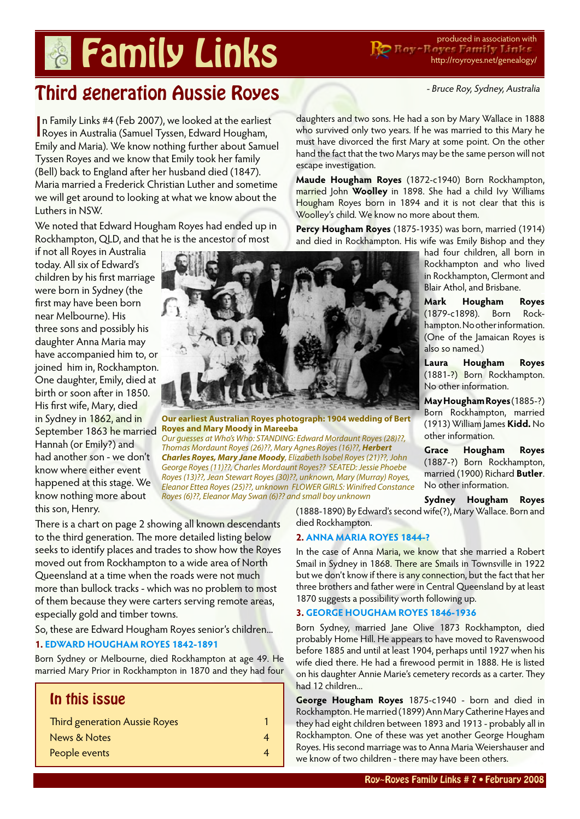# **Pamily Links** Reproduced in association with

http://royroyes.net/genealogy/

- Bruce Roy, Sydney, Australia

# Third generation Aussie Royes

In Family Links #4 (Feb 2007), we looked at the earliest<br>Royes in Australia (Samuel Tyssen, Edward Hougham, n Family Links #4 (Feb 2007), we looked at the earliest Emily and Maria). We know nothing further about Samuel Tyssen Royes and we know that Emily took her family (Bell) back to England after her husband died (1847). Maria married a Frederick Christian Luther and sometime we will get around to looking at what we know about the Luthers in NSW.

We noted that Edward Hougham Royes had ended up in Rockhampton, QLD, and that he is the ancestor of most

if not all Royes in Australia today. All six of Edward's children by his first marriage were born in Sydney (the first may have been born near Melbourne). His three sons and possibly his daughter Anna Maria may have accompanied him to, or joined him in, Rockhampton. One daughter, Emily, died at birth or soon after in 1850. His first wife, Mary, died in Sydney in 1862, and in September 1863 he married Hannah (or Emily?) and had another son - we don't know where either event happened at this stage. We know nothing more about this son, Henry.



**Our earliest Australian Royes photograph: 1904 wedding of Bert Royes and Mary Moody in Mareeba**

*Our guesses at Who's Who: STANDING: Edward Mordaunt Royes (28)??, Thomas Mordaunt Royes (26)??, Mary Agnes Royes (16)??, Herbert Charles Royes, Mary Jane Moody, Elizabeth Isobel Royes (21)??, John George Royes (11)??, Charles Mordaunt Royes?? SEATED: Jessie Phoebe Royes (13)??, Jean Stewart Royes (30)??, unknown, Mary (Murray) Royes, Eleanor Ettea Royes (25)??, unknown FLOWER GIRLS: Winifred Constance Royes (6)??, Eleanor May Swan (6)?? and small boy unknown*

There is a chart on page 2 showing all known descendants to the third generation. The more detailed listing below seeks to identify places and trades to show how the Royes moved out from Rockhampton to a wide area of North Queensland at a time when the roads were not much more than bullock tracks - which was no problem to most of them because they were carters serving remote areas, especially gold and timber towns.

So, these are Edward Hougham Royes senior's children...

#### **1. [EDWARD HOUGHAM ROYES 1842-1891](http://royroyes.net/genealogy/getperson.php?personID=I911&tree=rr_tree)**

Born Sydney or Melbourne, died Rockhampton at age 49. He married Mary Prior in Rockhampton in 1870 and they had four

# In this issue

| Third generation Aussie Royes |  |
|-------------------------------|--|
| News & Notes                  |  |
| People events                 |  |

must have divorced the first Mary at some point. On the other hand the fact that the two Marys may be the same person will not escape investigation.

**Maude Hougham Royes** (1872-c1940) Born Rockhampton, married John **Woolley** in 1898. She had a child Ivy Williams Hougham Royes born in 1894 and it is not clear that this is Woolley's child. We know no more about them.

daughters and two sons. He had a son by Mary Wallace in 1888 who survived only two years. If he was married to this Mary he

Percy Hougham Royes (1875-1935) was born, married (1914) and died in Rockhampton. His wife was Emily Bishop and they

had four children, all born in Rockhampton and who lived in Rockhampton, Clermont and Blair Athol, and Brisbane.

**Mark Hougham Royes** (1879-c1898). Born Rockhampton. No other information. (One of the Jamaican Royes is also so named.)

**Laura Hougham Royes** (1881-?) Born Rockhampton. No other information.

**May Hougham Royes** (1885-?) Born Rockhampton, married (1913) William James **Kidd.** No other information.

**Grace Hougham Royes** (1887-?) Born Rockhampton, married (1900) Richard **Butler**. No other information.

**Sydney Hougham Royes**

(1888-1890) By Edward's second wife(?), Mary Wallace. Born and died Rockhampton.

#### **2. [ANNA MARIA ROYES 1844-?](http://royroyes.net/genealogy/getperson.php?personID=I869&tree=rr_tree)**

In the case of Anna Maria, we know that she married a Robert Smail in Sydney in 1868. There are Smails in Townsville in 1922 but we don't know if there is any connection, but the fact that her three brothers and father were in Central Queensland by at least 1870 suggests a possibility worth following up.

### **3. [GEORGE HOUGHAM ROYES 1846-1936](http://royroyes.net/genealogy/getperson.php?personID=I937&tree=rr_tree)**

Born Sydney, married Jane Olive 1873 Rockhampton, died probably Home Hill. He appears to have moved to Ravenswood before 1885 and until at least 1904, perhaps until 1927 when his wife died there. He had a firewood permit in 1888. He is listed on his daughter Annie Marie's cemetery records as a carter. They had 12 children...

**George Hougham Royes** 1875-c1940 - born and died in Rockhampton. He married (1899) Ann Mary Catherine Hayes and they had eight children between 1893 and 1913 - probably all in Rockhampton. One of these was yet another George Hougham Royes. His second marriage was to Anna Maria Weiershauser and we know of two children - there may have been others.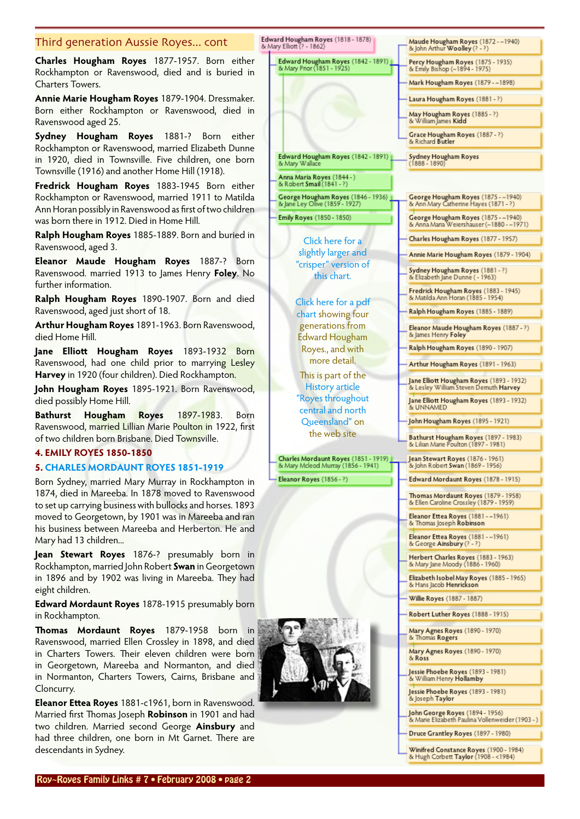#### Third generation Aussie Royes... cont

**Charles Hougham Royes** 1877-1957. Born either Rockhampton or Ravenswood, died and is buried in Charters Towers.

**Annie Marie Hougham Royes** 1879-1904. Dressmaker. Born either Rockhampton or Ravenswood, died in Ravenswood aged 25.

**Sydney Hougham Royes** 1881-? Born either Rockhampton or Ravenswood, married Elizabeth Dunne in 1920, died in Townsville. Five children, one born Townsville (1916) and another Home Hill (1918).

**Fredrick Hougham Royes** 1883-1945 Born either Rockhampton or Ravenswood, married 1911 to Matilda Ann Horan possibly in Ravenswood as first of two children was born there in 1912. Died in Home Hill.

**Ralph Hougham Royes** 1885-1889. Born and buried in Ravenswood, aged 3.

**Eleanor Maude Hougham Royes** 1887-? Born Ravenswood. married 1913 to James Henry **Foley**. No further information.

**Ralph Hougham Royes** 1890-1907. Born and died Ravenswood, aged just short of 18.

**Arthur Hougham Royes** 1891-1963. Born Ravenswood, died Home Hill.

**Jane Elliott Hougham Royes** 1893-1932 Born Ravenswood, had one child prior to marrying Lesley Harvey in 1920 (four children). Died Rockhampton.

**John Hougham Royes** 1895-1921. Born Ravenswood, died possibly Home Hill.

**Bathurst Hougham Royes** 1897-1983. Born Ravenswood, married Lillian Marie Poulton in 1922, first of two children born Brisbane. Died Townsville.

#### **4. EMILY ROYES 1850-1850**

#### **5. [CHARLES MORDAUNT ROYES 1851-1919](http://royroyes.net/genealogy/getperson.php?personID=I937&tree=rr_tree)**

Born Sydney, married Mary Murray in Rockhampton in 1874, died in Mareeba. In 1878 moved to Ravenswood to set up carrying business with bullocks and horses. 1893 moved to Georgetown, by 1901 was in Mareeba and ran his business between Mareeba and Herberton. He and Mary had 13 children...

**Jean Stewart Royes** 1876-? presumably born in Rockhampton, married John Robert **Swan** in Georgetown in 1896 and by 1902 was living in Mareeba. They had eight children.

**Edward Mordaunt Royes** 1878-1915 presumably born in Rockhampton.

**Thomas Mordaunt Royes** 1879-1958 born in Ravenswood, married Ellen Crossley in 1898, and died in Charters Towers. Their eleven children were born in Georgetown, Mareeba and Normanton, and died in Normanton, Charters Towers, Cairns, Brisbane and Cloncurry.

**Eleanor Ettea Royes** 1881-c1961, born in Ravenswood. Married first Thomas Joseph **Robinson** in 1901 and had two children. Married second George **Ainsbury** and had three children, one born in Mt Garnet. There are descendants in Sydney.



Druce Grantley Royes (1897 - 1980)

Winifred Constance Royes (1900 - 1984)<br>& Hugh Corbett Taylor (1908 - <1984)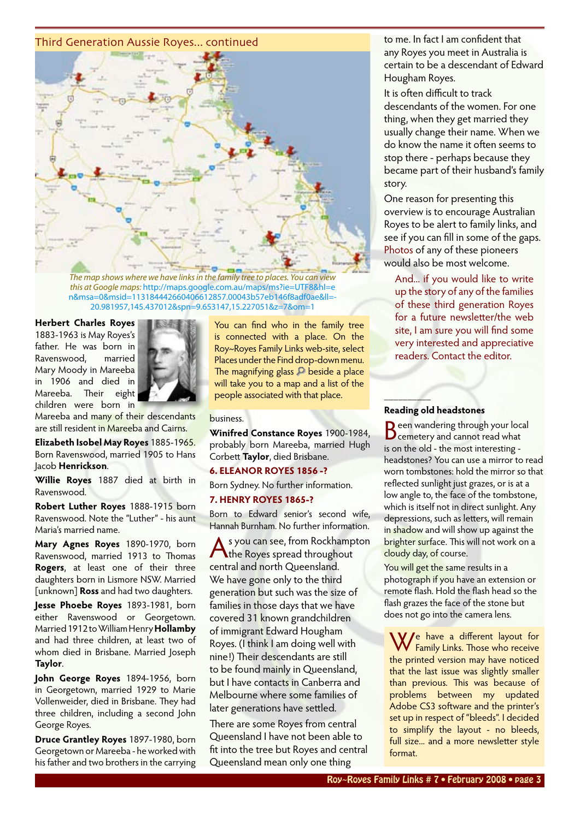#### Third Generation Aussie Royes... continued



*The map shows where we have links in the family tree to places. You can view this at Google maps:* [http://maps.google.com.au/maps/ms?ie=UTF8&hl=e](http://maps.google.com.au/maps/ms?ie=UTF8&hl=e n&msa=0&msid=113184442660406612857.00043b57eb146f8adf0ae&ll=- 20.981957,145.437012&spn=9.653147,15.227051&z=7&om=1) [n&msa=0&msid=113184442660406612857.00043b57eb146f8adf0ae&ll=-](http://maps.google.com.au/maps/ms?ie=UTF8&hl=e n&msa=0&msid=113184442660406612857.00043b57eb146f8adf0ae&ll=- 20.981957,145.437012&spn=9.653147,15.227051&z=7&om=1) [20.981957,145.437012&spn=9.653147,15.227051&z=7&om=1](http://maps.google.com.au/maps/ms?ie=UTF8&hl=e n&msa=0&msid=113184442660406612857.00043b57eb146f8adf0ae&ll=- 20.981957,145.437012&spn=9.653147,15.227051&z=7&om=1)

#### **Herbert Charles Royes**

1883-1963 is May Royes's father. He was born in Ravenswood, married Mary Moody in Mareeba in 1906 and died in Mareeba. Their eight children were born in



Mareeba and many of their descendants are still resident in Mareeba and Cairns.

**Elizabeth Isobel May Royes** 1885-1965. Born Ravenswood, married 1905 to Hans Jacob **Henrickson**.

**Willie Royes** 1887 died at birth in Ravenswood.

**Robert Luther Royes** 1888-1915 born Ravenswood. Note the "Luther" - his aunt Maria's married name.

**Mary Agnes Royes** 1890-1970, born Ravenswood, married 1913 to Thomas **Rogers**, at least one of their three daughters born in Lismore NSW. Married [unknown] **Ross** and had two daughters.

**Jesse Phoebe Royes** 1893-1981, born either Ravenswood or Georgetown. Married 1912 to William Henry **Hollamby** and had three children, at least two of whom died in Brisbane. Married Joseph **Taylor**.

**John George Royes** 1894-1956, born in Georgetown, married 1929 to Marie Vollenweider, died in Brisbane. They had three children, including a second John George Royes.

**Druce Grantley Royes** 1897-1980, born Georgetown or Mareeba - he worked with his father and two brothers in the carrying

You can find who in the family tree is connected with a place. On the Roy~Royes Family Links web-site, select Places under the Find drop-down menu. The magnifying glass  $\Box$  beside a place will take you to a map and a list of the people associated with that place.

#### business.

**Winifred Constance Royes** 1900-1984, probably born Mareeba, married Hugh Corbett **Taylor**, died Brisbane.

#### **6. ELEANOR ROYES 1856 -?**

Born Sydney. No further information.

#### **7. HENRY ROYES 1865-?**

Born to Edward senior's second wife, Hannah Burnham. No further information.

s you can see, from Rockhampton the Royes spread throughout central and north Queensland. We have gone only to the third generation but such was the size of families in those days that we have covered 31 known grandchildren of immigrant Edward Hougham Royes. (I think I am doing well with nine!) Their descendants are still to be found mainly in Queensland, but I have contacts in Canberra and Melbourne where some families of later generations have settled.

There are some Royes from central Queensland I have not been able to fit into the tree but Royes and central Queensland mean only one thing

to me. In fact I am confident that any Royes you meet in Australia is certain to be a descendant of Edward Hougham Royes.

It is often difficult to track descendants of the women. For one thing, when they get married they usually change their name. When we do know the name it often seems to stop there - perhaps because they became part of their husband's family story.

One reason for presenting this overview is to encourage Australian Royes to be alert to family links, and see if you can fill in some of the gaps. Photos of any of these pioneers would also be most welcome.

And... if you would like to write up the story of any of the families of these third generation Royes for a future newsletter/the web site, I am sure you will find some very interested and appreciative readers. Contact the editor.

#### **Reading old headstones**

**\_\_\_\_\_\_\_\_\_\_**

Been wandering through your local<br>Beemetery and cannot read what is on the old - the most interesting headstones? You can use a mirror to read worn tombstones: hold the mirror so that reflected sunlight just grazes, or is at a low angle to, the face of the tombstone, which is itself not in direct sunlight. Any depressions, such as letters, will remain in shadow and will show up against the brighter surface. This will not work on a cloudy day, of course.

You will get the same results in a photograph if you have an extension or remote flash. Hold the flash head so the flash grazes the face of the stone but does not go into the camera lens.

We have a different layout for Family Links. Those who receive the printed version may have noticed that the last issue was slightly smaller than previous. This was because of problems between my updated Adobe CS3 software and the printer's set up in respect of "bleeds". I decided to simplify the layout - no bleeds, full size... and a more newsletter style format.